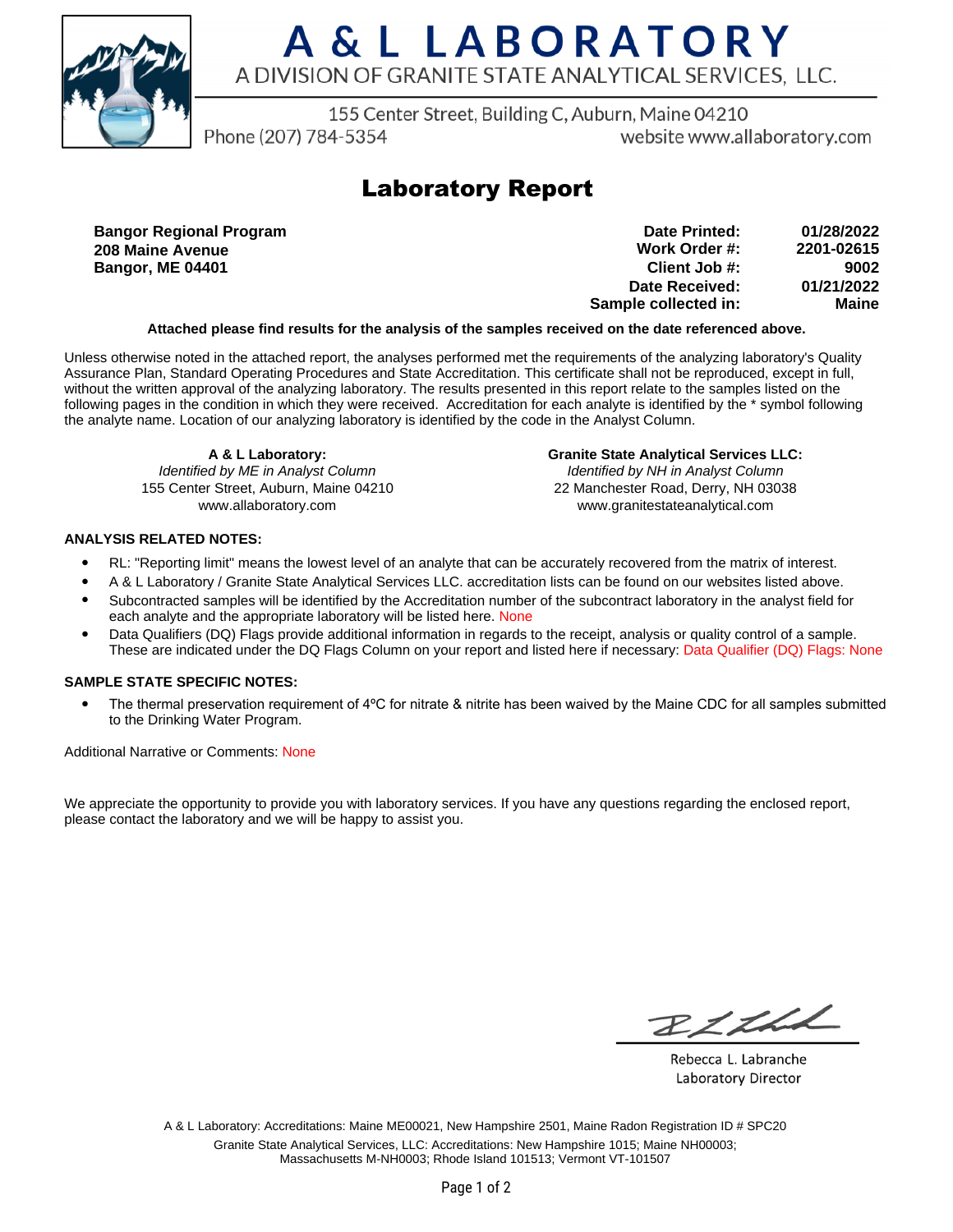

# A & L LABORATORY A DIVISION OF GRANITE STATE ANALYTICAL SERVICES. LLC.

155 Center Street, Building C, Auburn, Maine 04210

Phone (207) 784-5354

website www.allaboratory.com

## **Laboratory Report**

**Bangor Regional Program 208 Maine Avenue Bangor, ME 04401**

| 01/28/2022   | Date Printed:        |
|--------------|----------------------|
| 2201-02615   | Work Order #:        |
| 9002         | Client Job #:        |
| 01/21/2022   | Date Received:       |
| <b>Maine</b> | Sample collected in: |

### **Attached please find results for the analysis of the samples received on the date referenced above.**

Unless otherwise noted in the attached report, the analyses performed met the requirements of the analyzing laboratory's Quality Assurance Plan, Standard Operating Procedures and State Accreditation. This certificate shall not be reproduced, except in full, without the written approval of the analyzing laboratory. The results presented in this report relate to the samples listed on the following pages in the condition in which they were received. Accreditation for each analyte is identified by the \* symbol following the analyte name. Location of our analyzing laboratory is identified by the code in the Analyst Column.

**A & L Laboratory:** Identified by ME in Analyst Column 155 Center Street, Auburn, Maine 04210 www.allaboratory.com

**Granite State Analytical Services LLC:** Identified by NH in Analyst Column 22 Manchester Road, Derry, NH 03038 www.granitestateanalytical.com

### **ANALYSIS RELATED NOTES:**

- RL: "Reporting limit" means the lowest level of an analyte that can be accurately recovered from the matrix of interest.
- A & L Laboratory / Granite State Analytical Services LLC. accreditation lists can be found on our websites listed above.
- Subcontracted samples will be identified by the Accreditation number of the subcontract laboratory in the analyst field for each analyte and the appropriate laboratory will be listed here. None
- Data Qualifiers (DQ) Flags provide additional information in regards to the receipt, analysis or quality control of a sample. These are indicated under the DQ Flags Column on your report and listed here if necessary: Data Qualifier (DQ) Flags: None

### **SAMPLE STATE SPECIFIC NOTES:**

• The thermal preservation requirement of 4°C for nitrate & nitrite has been waived by the Maine CDC for all samples submitted to the Drinking Water Program.

Additional Narrative or Comments: None

We appreciate the opportunity to provide you with laboratory services. If you have any questions regarding the enclosed report, please contact the laboratory and we will be happy to assist you.

RICH

Rebecca L. Labranche Laboratory Director

A & L Laboratory: Accreditations: Maine ME00021, New Hampshire 2501, Maine Radon Registration ID # SPC20 Granite State Analytical Services, LLC: Accreditations: New Hampshire 1015; Maine NH00003; Massachusetts M-NH0003; Rhode Island 101513; Vermont VT-101507